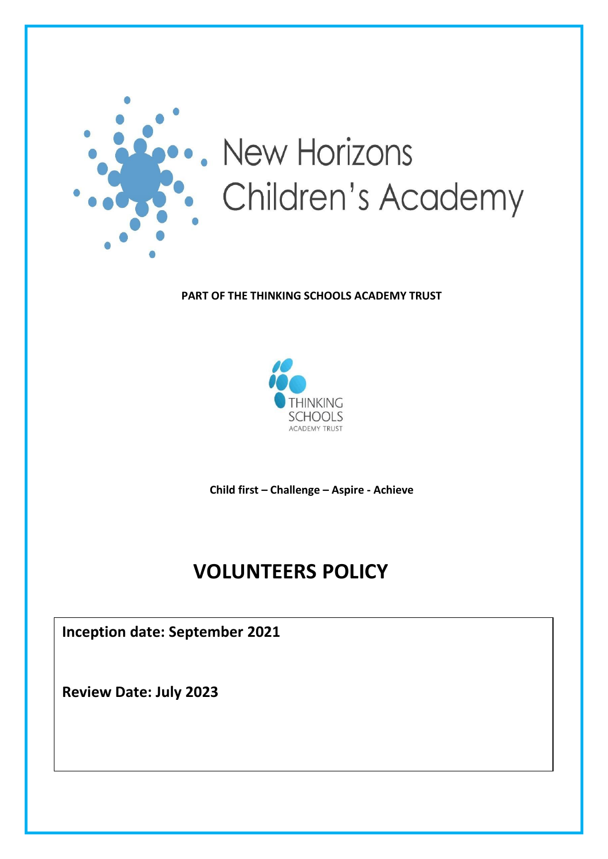

#### **PART OF THE THINKING SCHOOLS ACADEMY TRUST**



**Child first – Challenge – Aspire - Achieve**

# **VOLUNTEERS POLICY**

**Inception date: September 2021**

**Review Date: July 2023**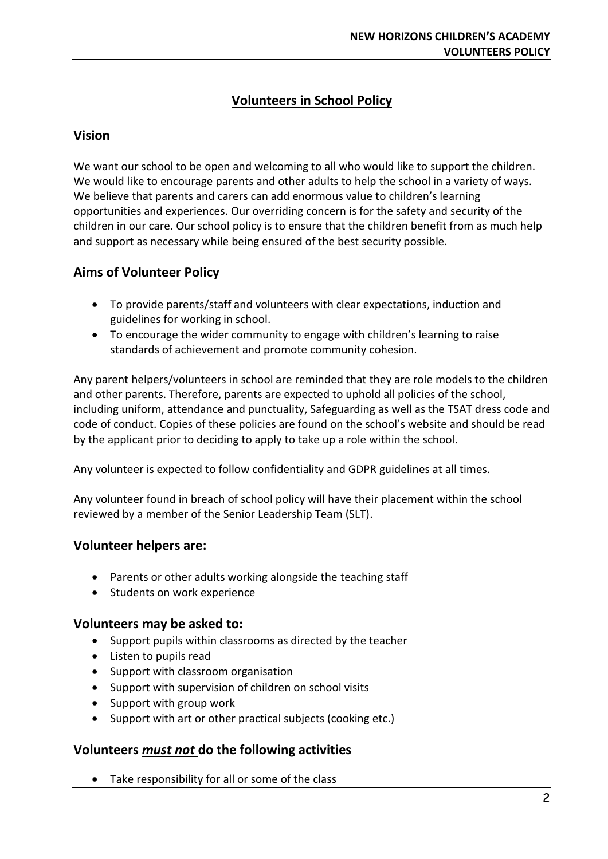# **Volunteers in School Policy**

#### **Vision**

We want our school to be open and welcoming to all who would like to support the children. We would like to encourage parents and other adults to help the school in a variety of ways. We believe that parents and carers can add enormous value to children's learning opportunities and experiences. Our overriding concern is for the safety and security of the children in our care. Our school policy is to ensure that the children benefit from as much help and support as necessary while being ensured of the best security possible.

#### **Aims of Volunteer Policy**

- To provide parents/staff and volunteers with clear expectations, induction and guidelines for working in school.
- To encourage the wider community to engage with children's learning to raise standards of achievement and promote community cohesion.

Any parent helpers/volunteers in school are reminded that they are role models to the children and other parents. Therefore, parents are expected to uphold all policies of the school, including uniform, attendance and punctuality, Safeguarding as well as the TSAT dress code and code of conduct. Copies of these policies are found on the school's website and should be read by the applicant prior to deciding to apply to take up a role within the school.

Any volunteer is expected to follow confidentiality and GDPR guidelines at all times.

Any volunteer found in breach of school policy will have their placement within the school reviewed by a member of the Senior Leadership Team (SLT).

#### **Volunteer helpers are:**

- Parents or other adults working alongside the teaching staff
- Students on work experience

#### **Volunteers may be asked to:**

- Support pupils within classrooms as directed by the teacher
- Listen to pupils read
- Support with classroom organisation
- Support with supervision of children on school visits
- Support with group work
- Support with art or other practical subjects (cooking etc.)

#### **Volunteers** *must not* **do the following activities**

Take responsibility for all or some of the class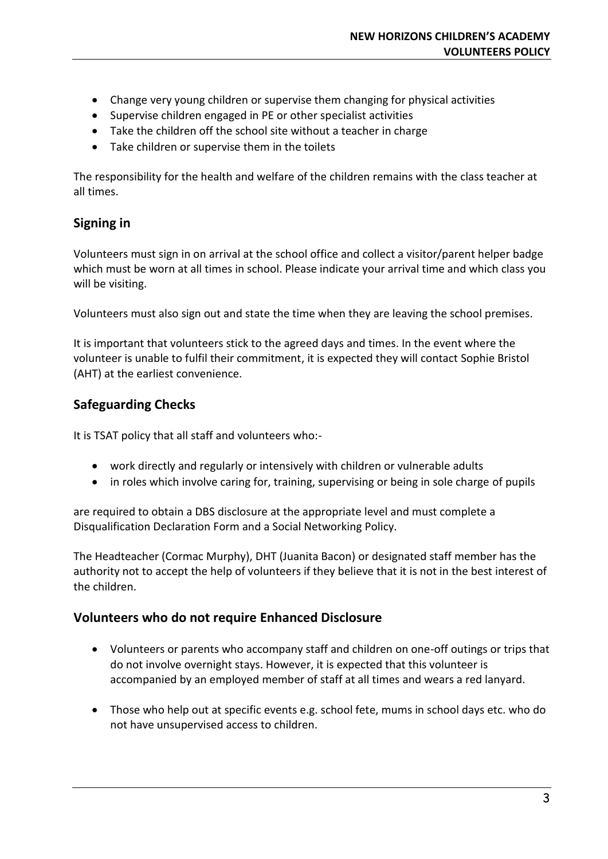- Change very young children or supervise them changing for physical activities
- Supervise children engaged in PE or other specialist activities
- Take the children off the school site without a teacher in charge
- Take children or supervise them in the toilets

The responsibility for the health and welfare of the children remains with the class teacher at all times.

#### **Signing in**

Volunteers must sign in on arrival at the school office and collect a visitor/parent helper badge which must be worn at all times in school. Please indicate your arrival time and which class you will be visiting.

Volunteers must also sign out and state the time when they are leaving the school premises.

It is important that volunteers stick to the agreed days and times. In the event where the volunteer is unable to fulfil their commitment, it is expected they will contact Sophie Bristol (AHT) at the earliest convenience.

### **Safeguarding Checks**

It is TSAT policy that all staff and volunteers who:-

- work directly and regularly or intensively with children or vulnerable adults
- in roles which involve caring for, training, supervising or being in sole charge of pupils

are required to obtain a DBS disclosure at the appropriate level and must complete a Disqualification Declaration Form and a Social Networking Policy.

The Headteacher (Cormac Murphy), DHT (Juanita Bacon) or designated staff member has the authority not to accept the help of volunteers if they believe that it is not in the best interest of the children.

#### **Volunteers who do not require Enhanced Disclosure**

- Volunteers or parents who accompany staff and children on one-off outings or trips that do not involve overnight stays. However, it is expected that this volunteer is accompanied by an employed member of staff at all times and wears a red lanyard.
- Those who help out at specific events e.g. school fete, mums in school days etc. who do not have unsupervised access to children.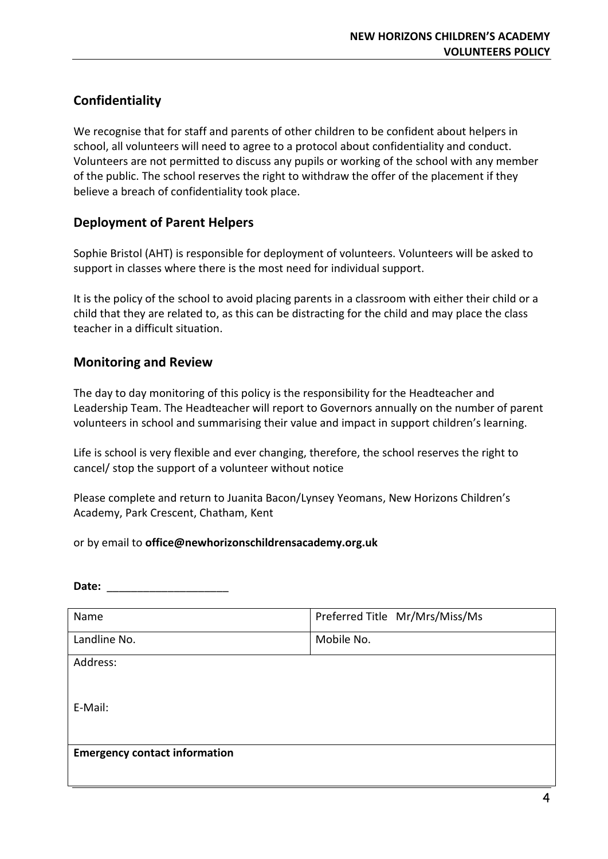# **Confidentiality**

We recognise that for staff and parents of other children to be confident about helpers in school, all volunteers will need to agree to a protocol about confidentiality and conduct. Volunteers are not permitted to discuss any pupils or working of the school with any member of the public. The school reserves the right to withdraw the offer of the placement if they believe a breach of confidentiality took place.

## **Deployment of Parent Helpers**

Sophie Bristol (AHT) is responsible for deployment of volunteers. Volunteers will be asked to support in classes where there is the most need for individual support.

It is the policy of the school to avoid placing parents in a classroom with either their child or a child that they are related to, as this can be distracting for the child and may place the class teacher in a difficult situation.

## **Monitoring and Review**

The day to day monitoring of this policy is the responsibility for the Headteacher and Leadership Team. The Headteacher will report to Governors annually on the number of parent volunteers in school and summarising their value and impact in support children's learning.

Life is school is very flexible and ever changing, therefore, the school reserves the right to cancel/ stop the support of a volunteer without notice

Please complete and return to Juanita Bacon/Lynsey Yeomans, New Horizons Children's Academy, Park Crescent, Chatham, Kent

or by email to **office@newhorizonschildrensacademy.org.uk**

| Date:                                |                                |
|--------------------------------------|--------------------------------|
| Name                                 | Preferred Title Mr/Mrs/Miss/Ms |
| Landline No.                         | Mobile No.                     |
| Address:                             |                                |
| E-Mail:                              |                                |
| <b>Emergency contact information</b> |                                |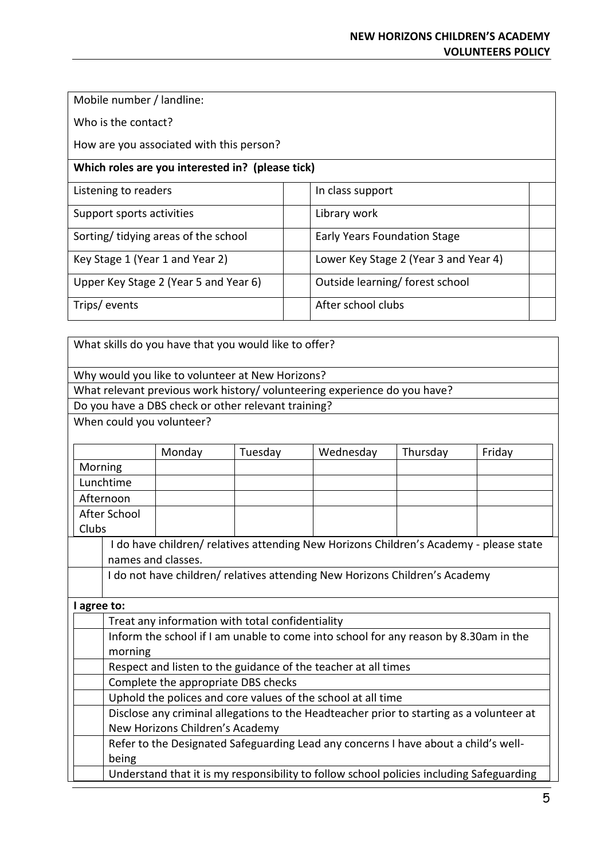Mobile number / landline:

Who is the contact?

How are you associated with this person?

#### **Which roles are you interested in? (please tick)**

| Listening to readers                  |  | In class support                      |  |
|---------------------------------------|--|---------------------------------------|--|
| Support sports activities             |  | Library work                          |  |
| Sorting/tidying areas of the school   |  | Early Years Foundation Stage          |  |
| Key Stage 1 (Year 1 and Year 2)       |  | Lower Key Stage 2 (Year 3 and Year 4) |  |
| Upper Key Stage 2 (Year 5 and Year 6) |  | Outside learning/ forest school       |  |
| Trips/events                          |  | After school clubs                    |  |

What skills do you have that you would like to offer? Why would you like to volunteer at New Horizons?

What relevant previous work history/ volunteering experience do you have?

Do you have a DBS check or other relevant training?

When could you volunteer?

|                                                                                          | Monday | Tuesday | Wednesday | Thursday | Friday |  |  |  |
|------------------------------------------------------------------------------------------|--------|---------|-----------|----------|--------|--|--|--|
| Morning                                                                                  |        |         |           |          |        |  |  |  |
| Lunchtime                                                                                |        |         |           |          |        |  |  |  |
| Afternoon                                                                                |        |         |           |          |        |  |  |  |
| After School                                                                             |        |         |           |          |        |  |  |  |
| Clubs                                                                                    |        |         |           |          |        |  |  |  |
| I do have children/ relatives attending New Horizons Children's Academy - please state   |        |         |           |          |        |  |  |  |
| names and classes.                                                                       |        |         |           |          |        |  |  |  |
| I do not have children/ relatives attending New Horizons Children's Academy              |        |         |           |          |        |  |  |  |
|                                                                                          |        |         |           |          |        |  |  |  |
| agree to:                                                                                |        |         |           |          |        |  |  |  |
| Treat any information with total confidentiality                                         |        |         |           |          |        |  |  |  |
| Inform the school if I am unable to come into school for any reason by 8.30am in the     |        |         |           |          |        |  |  |  |
| morning                                                                                  |        |         |           |          |        |  |  |  |
| Respect and listen to the guidance of the teacher at all times                           |        |         |           |          |        |  |  |  |
| Complete the appropriate DBS checks                                                      |        |         |           |          |        |  |  |  |
| Uphold the polices and core values of the school at all time                             |        |         |           |          |        |  |  |  |
| Disclose any criminal allegations to the Headteacher prior to starting as a volunteer at |        |         |           |          |        |  |  |  |
| New Horizons Children's Academy                                                          |        |         |           |          |        |  |  |  |
| Refer to the Designated Safeguarding Lead any concerns I have about a child's well-      |        |         |           |          |        |  |  |  |
| being                                                                                    |        |         |           |          |        |  |  |  |
| Understand that it is my responsibility to follow school policies including Safeguarding |        |         |           |          |        |  |  |  |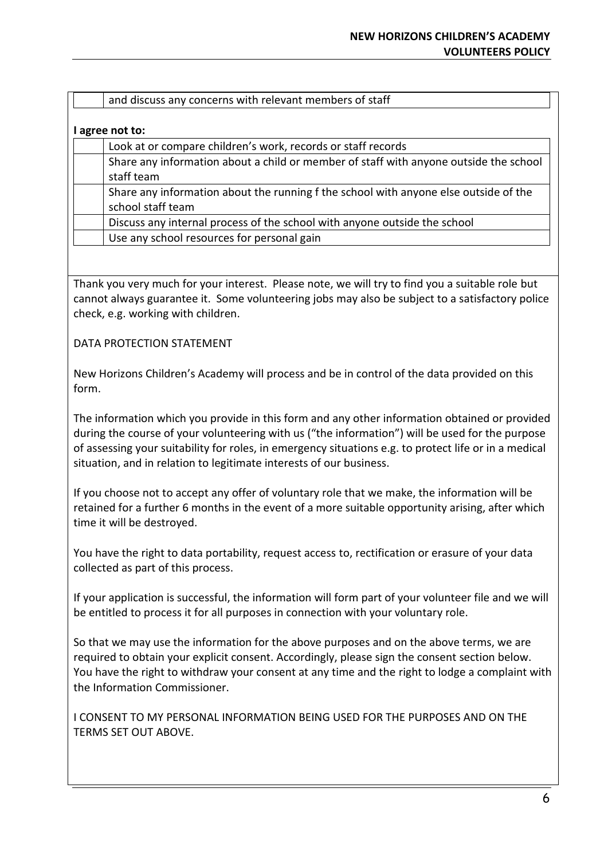#### **I agree not to:**

Look at or compare children's work, records or staff records Share any information about a child or member of staff with anyone outside the school staff team Share any information about the running f the school with anyone else outside of the school staff team Discuss any internal process of the school with anyone outside the school Use any school resources for personal gain

Thank you very much for your interest. Please note, we will try to find you a suitable role but cannot always guarantee it. Some volunteering jobs may also be subject to a satisfactory police check, e.g. working with children.

DATA PROTECTION STATEMENT

New Horizons Children's Academy will process and be in control of the data provided on this form.

The information which you provide in this form and any other information obtained or provided during the course of your volunteering with us ("the information") will be used for the purpose of assessing your suitability for roles, in emergency situations e.g. to protect life or in a medical situation, and in relation to legitimate interests of our business.

If you choose not to accept any offer of voluntary role that we make, the information will be retained for a further 6 months in the event of a more suitable opportunity arising, after which time it will be destroyed.

You have the right to data portability, request access to, rectification or erasure of your data collected as part of this process.

If your application is successful, the information will form part of your volunteer file and we will be entitled to process it for all purposes in connection with your voluntary role.

So that we may use the information for the above purposes and on the above terms, we are required to obtain your explicit consent. Accordingly, please sign the consent section below. You have the right to withdraw your consent at any time and the right to lodge a complaint with the Information Commissioner.

I CONSENT TO MY PERSONAL INFORMATION BEING USED FOR THE PURPOSES AND ON THE TERMS SET OUT ABOVE.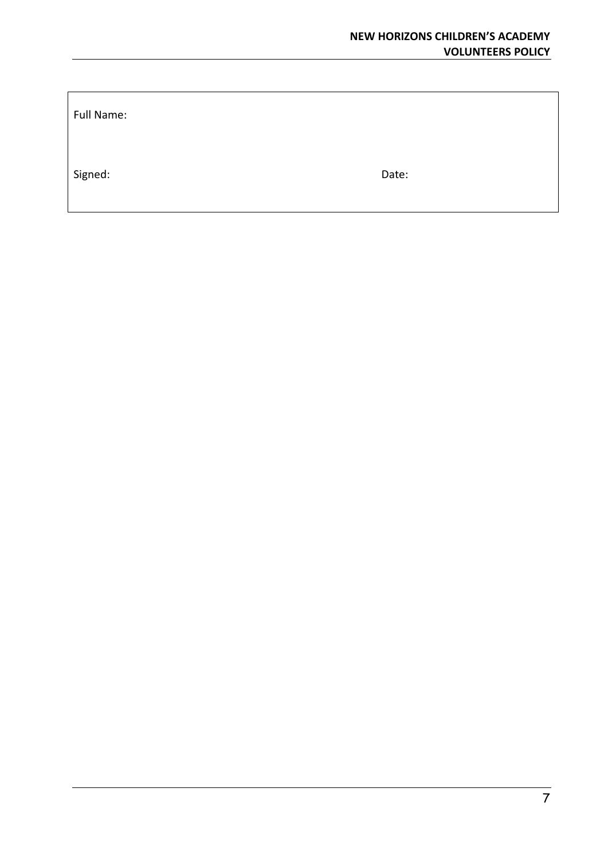Full Name:

Signed: Date: Date: Date: Date: Date: Date: Date: Date: Date: Date: Date: Date: Date: Date: Date: Date: Date: Date: Date: Date: Date: Date: Date: Date: Date: Date: Date: Date: Date: Date: Date: Date: Date: Date: Date: Date